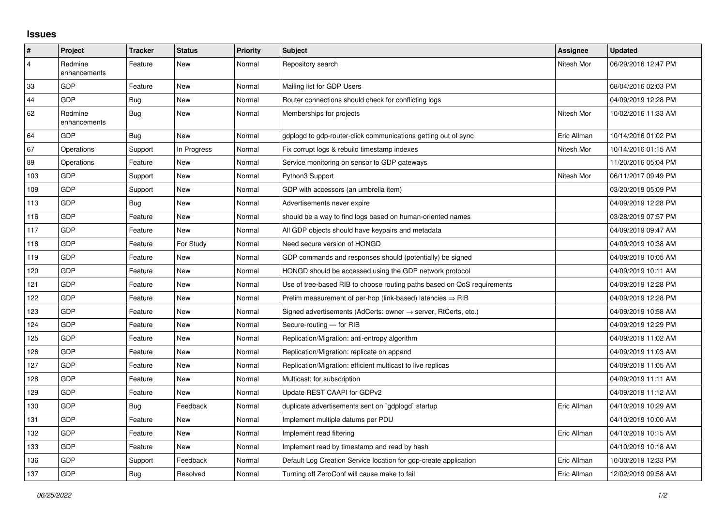## **Issues**

| $\sharp$                | <b>Project</b>          | <b>Tracker</b> | <b>Status</b> | <b>Priority</b> | <b>Subject</b>                                                             | Assignee    | <b>Updated</b>      |
|-------------------------|-------------------------|----------------|---------------|-----------------|----------------------------------------------------------------------------|-------------|---------------------|
| $\overline{\mathbf{4}}$ | Redmine<br>enhancements | Feature        | <b>New</b>    | Normal          | Repository search                                                          | Nitesh Mor  | 06/29/2016 12:47 PM |
| 33                      | <b>GDP</b>              | Feature        | <b>New</b>    | Normal          | Mailing list for GDP Users                                                 |             | 08/04/2016 02:03 PM |
| 44                      | <b>GDP</b>              | Bug            | <b>New</b>    | Normal          | Router connections should check for conflicting logs                       |             | 04/09/2019 12:28 PM |
| 62                      | Redmine<br>enhancements | Bug            | <b>New</b>    | Normal          | Memberships for projects                                                   | Nitesh Mor  | 10/02/2016 11:33 AM |
| 64                      | <b>GDP</b>              | Bug            | <b>New</b>    | Normal          | gdplogd to gdp-router-click communications getting out of sync             | Eric Allman | 10/14/2016 01:02 PM |
| 67                      | Operations              | Support        | In Progress   | Normal          | Fix corrupt logs & rebuild timestamp indexes                               | Nitesh Mor  | 10/14/2016 01:15 AM |
| 89                      | Operations              | Feature        | <b>New</b>    | Normal          | Service monitoring on sensor to GDP gateways                               |             | 11/20/2016 05:04 PM |
| 103                     | GDP                     | Support        | <b>New</b>    | Normal          | Python3 Support                                                            | Nitesh Mor  | 06/11/2017 09:49 PM |
| 109                     | GDP                     | Support        | <b>New</b>    | Normal          | GDP with accessors (an umbrella item)                                      |             | 03/20/2019 05:09 PM |
| 113                     | <b>GDP</b>              | Bug            | <b>New</b>    | Normal          | Advertisements never expire                                                |             | 04/09/2019 12:28 PM |
| 116                     | <b>GDP</b>              | Feature        | New           | Normal          | should be a way to find logs based on human-oriented names                 |             | 03/28/2019 07:57 PM |
| 117                     | GDP                     | Feature        | <b>New</b>    | Normal          | All GDP objects should have keypairs and metadata                          |             | 04/09/2019 09:47 AM |
| 118                     | <b>GDP</b>              | Feature        | For Study     | Normal          | Need secure version of HONGD                                               |             | 04/09/2019 10:38 AM |
| 119                     | <b>GDP</b>              | Feature        | <b>New</b>    | Normal          | GDP commands and responses should (potentially) be signed                  |             | 04/09/2019 10:05 AM |
| 120                     | GDP                     | Feature        | <b>New</b>    | Normal          | HONGD should be accessed using the GDP network protocol                    |             | 04/09/2019 10:11 AM |
| 121                     | <b>GDP</b>              | Feature        | New           | Normal          | Use of tree-based RIB to choose routing paths based on QoS requirements    |             | 04/09/2019 12:28 PM |
| 122                     | <b>GDP</b>              | Feature        | New           | Normal          | Prelim measurement of per-hop (link-based) latencies $\Rightarrow$ RIB     |             | 04/09/2019 12:28 PM |
| 123                     | GDP                     | Feature        | New           | Normal          | Signed advertisements (AdCerts: owner $\rightarrow$ server, RtCerts, etc.) |             | 04/09/2019 10:58 AM |
| 124                     | <b>GDP</b>              | Feature        | <b>New</b>    | Normal          | Secure-routing - for RIB                                                   |             | 04/09/2019 12:29 PM |
| 125                     | <b>GDP</b>              | Feature        | <b>New</b>    | Normal          | Replication/Migration: anti-entropy algorithm                              |             | 04/09/2019 11:02 AM |
| 126                     | <b>GDP</b>              | Feature        | <b>New</b>    | Normal          | Replication/Migration: replicate on append                                 |             | 04/09/2019 11:03 AM |
| 127                     | <b>GDP</b>              | Feature        | New           | Normal          | Replication/Migration: efficient multicast to live replicas                |             | 04/09/2019 11:05 AM |
| 128                     | GDP                     | Feature        | <b>New</b>    | Normal          | Multicast: for subscription                                                |             | 04/09/2019 11:11 AM |
| 129                     | <b>GDP</b>              | Feature        | <b>New</b>    | Normal          | Update REST CAAPI for GDPv2                                                |             | 04/09/2019 11:12 AM |
| 130                     | <b>GDP</b>              | <b>Bug</b>     | Feedback      | Normal          | duplicate advertisements sent on `gdplogd` startup                         | Eric Allman | 04/10/2019 10:29 AM |
| 131                     | GDP                     | Feature        | <b>New</b>    | Normal          | Implement multiple datums per PDU                                          |             | 04/10/2019 10:00 AM |
| 132                     | <b>GDP</b>              | Feature        | <b>New</b>    | Normal          | Implement read filtering                                                   | Eric Allman | 04/10/2019 10:15 AM |
| 133                     | <b>GDP</b>              | Feature        | <b>New</b>    | Normal          | Implement read by timestamp and read by hash                               |             | 04/10/2019 10:18 AM |
| 136                     | GDP                     | Support        | Feedback      | Normal          | Default Log Creation Service location for gdp-create application           | Eric Allman | 10/30/2019 12:33 PM |
| 137                     | GDP                     | Bug            | Resolved      | Normal          | Turning off ZeroConf will cause make to fail                               | Eric Allman | 12/02/2019 09:58 AM |